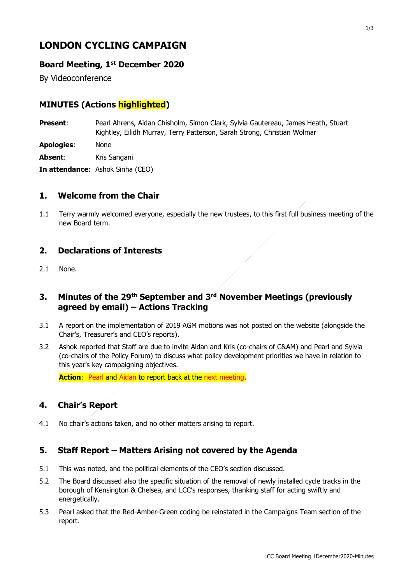# **LONDON CYCLING CAMPAIGN**

## **Board Meeting, 1st December 2020**

By Videoconference

# **MINUTES (Actions highlighted)**

**Present**: Pearl Ahrens, Aidan Chisholm, Simon Clark, Sylvia Gautereau, James Heath, Stuart Kightley, Eilidh Murray, Terry Patterson, Sarah Strong, Christian Wolmar

**Apologies**: None

**Absent:** Kris Sangani

**In attendance**: Ashok Sinha (CEO)

## **1. Welcome from the Chair**

1.1 Terry warmly welcomed everyone, especially the new trustees, to this first full business meeting of the new Board term.

## **2. Declarations of Interests**

2.1 None.

# **3. Minutes of the 29th September and 3rd November Meetings (previously agreed by email) – Actions Tracking**

- 3.1 A report on the implementation of 2019 AGM motions was not posted on the website (alongside the Chair's, Treasurer's and CEO's reports).
- 3.2 Ashok reported that Staff are due to invite Aidan and Kris (co-chairs of C&AM) and Pearl and Sylvia (co-chairs of the Policy Forum) to discuss what policy development priorities we have in relation to this year's key campaigning objectives.

**Action**: Pearl and Aidan to report back at the next meeting.

## **4. Chair's Report**

4.1 No chair's actions taken, and no other matters arising to report.

## **5. Staff Report – Matters Arising not covered by the Agenda**

- 5.1 This was noted, and the political elements of the CEO's section discussed.
- 5.2 The Board discussed also the specific situation of the removal of newly installed cycle tracks in the borough of Kensington & Chelsea, and LCC's responses, thanking staff for acting swiftly and energetically.
- 5.3 Pearl asked that the Red-Amber-Green coding be reinstated in the Campaigns Team section of the report.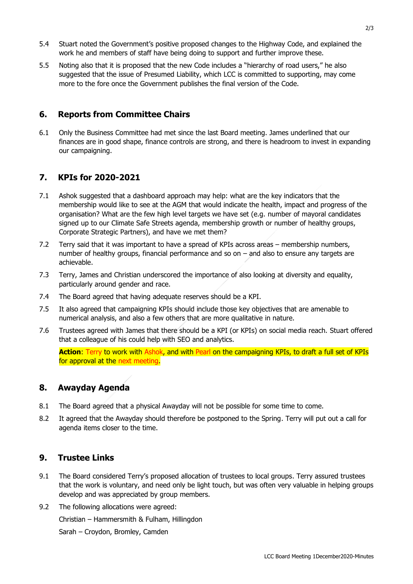- 5.4 Stuart noted the Government's positive proposed changes to the Highway Code, and explained the work he and members of staff have being doing to support and further improve these.
- 5.5 Noting also that it is proposed that the new Code includes a "hierarchy of road users," he also suggested that the issue of Presumed Liability, which LCC is committed to supporting, may come more to the fore once the Government publishes the final version of the Code.

## **6. Reports from Committee Chairs**

6.1 Only the Business Committee had met since the last Board meeting. James underlined that our finances are in good shape, finance controls are strong, and there is headroom to invest in expanding our campaigning.

## **7. KPIs for 2020-2021**

- 7.1 Ashok suggested that a dashboard approach may help: what are the key indicators that the membership would like to see at the AGM that would indicate the health, impact and progress of the organisation? What are the few high level targets we have set (e.g. number of mayoral candidates signed up to our Climate Safe Streets agenda, membership growth or number of healthy groups, Corporate Strategic Partners), and have we met them?
- 7.2 Terry said that it was important to have a spread of KPIs across areas membership numbers, number of healthy groups, financial performance and so on – and also to ensure any targets are achievable.
- 7.3 Terry, James and Christian underscored the importance of also looking at diversity and equality, particularly around gender and race.
- 7.4 The Board agreed that having adequate reserves should be a KPI.
- 7.5 It also agreed that campaigning KPIs should include those key objectives that are amenable to numerical analysis, and also a few others that are more qualitative in nature.
- 7.6 Trustees agreed with James that there should be a KPI (or KPIs) on social media reach. Stuart offered that a colleague of his could help with SEO and analytics.

**Action**: Terry to work with Ashok, and with Pearl on the campaigning KPIs, to draft a full set of KPIs for approval at the next meeting.

## **8. Awayday Agenda**

- 8.1 The Board agreed that a physical Awayday will not be possible for some time to come.
- 8.2 It agreed that the Awayday should therefore be postponed to the Spring. Terry will put out a call for agenda items closer to the time.

#### **9. Trustee Links**

- 9.1 The Board considered Terry's proposed allocation of trustees to local groups. Terry assured trustees that the work is voluntary, and need only be light touch, but was often very valuable in helping groups develop and was appreciated by group members.
- 9.2 The following allocations were agreed:

Christian – Hammersmith & Fulham, Hillingdon

Sarah – Croydon, Bromley, Camden